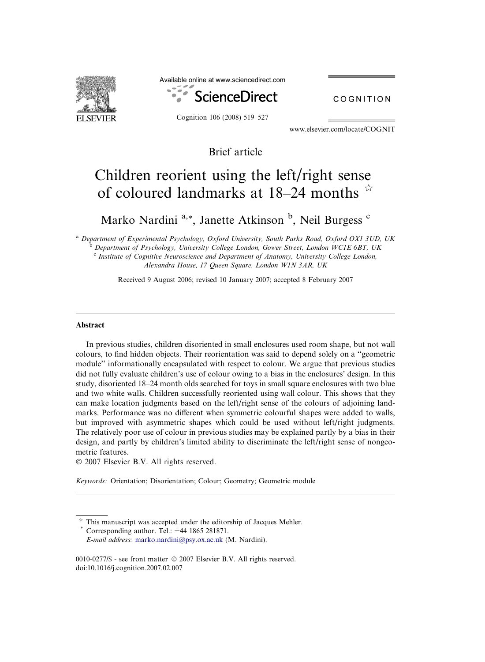

Available online at www.sciencedirect.com



COGNITION

www.elsevier.com/locate/COGNIT

Brief article

# Children reorient using the left/right sense of coloured landmarks at 18–24 months  $\overline{x}$

Marko Nardini<sup>a,\*</sup>, Janette Atkinson<sup>b</sup>, Neil Burgess<sup>c</sup>

<sup>a</sup> Department of Experimental Psychology, Oxford University, South Parks Road, Oxford OX1 3UD, UK <sup>b</sup> Department of Psychology, University College London, Gower Street, London WC1E 6BT, UK

 $c^c$  Institute of Cognitive Neuroscience and Department of Anatomy, University College London, Alexandra House, 17 Queen Square, London W1N 3AR, UK

Received 9 August 2006; revised 10 January 2007; accepted 8 February 2007

# Abstract

In previous studies, children disoriented in small enclosures used room shape, but not wall colours, to find hidden objects. Their reorientation was said to depend solely on a ''geometric module'' informationally encapsulated with respect to colour. We argue that previous studies did not fully evaluate children's use of colour owing to a bias in the enclosures' design. In this study, disoriented 18–24 month olds searched for toys in small square enclosures with two blue and two white walls. Children successfully reoriented using wall colour. This shows that they can make location judgments based on the left/right sense of the colours of adjoining landmarks. Performance was no different when symmetric colourful shapes were added to walls, but improved with asymmetric shapes which could be used without left/right judgments. The relatively poor use of colour in previous studies may be explained partly by a bias in their design, and partly by children's limited ability to discriminate the left/right sense of nongeometric features.

 $© 2007 Elsevier B.V. All rights reserved.$ 

Keywords: Orientation; Disorientation; Colour; Geometry; Geometric module

 $*$  This manuscript was accepted under the editorship of Jacques Mehler.  $*$  Corresponding author. Tel.:  $+44$  1865 281871. E-mail address: [marko.nardini@psy.ox.ac.uk](mailto:marko.nardini@psy.ox.ac.uk) (M. Nardini).

<sup>0010-0277/\$ -</sup> see front matter © 2007 Elsevier B.V. All rights reserved. doi:10.1016/j.cognition.2007.02.007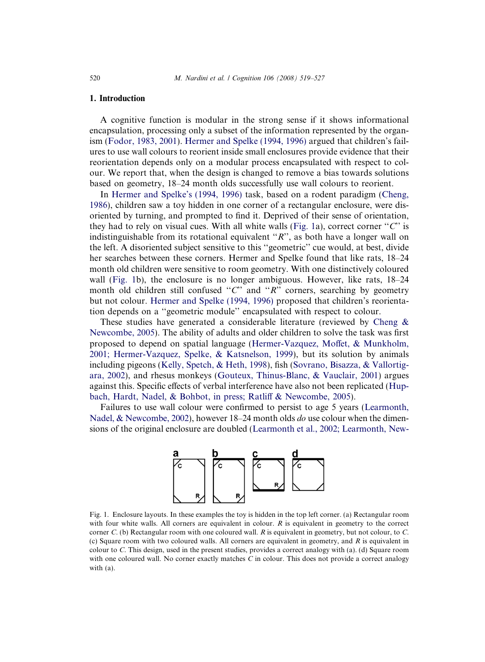# <span id="page-1-0"></span>1. Introduction

A cognitive function is modular in the strong sense if it shows informational encapsulation, processing only a subset of the information represented by the organism [\(Fodor, 1983, 2001\)](#page-7-0). [Hermer and Spelke \(1994, 1996\)](#page-8-0) argued that children's failures to use wall colours to reorient inside small enclosures provide evidence that their reorientation depends only on a modular process encapsulated with respect to colour. We report that, when the design is changed to remove a bias towards solutions based on geometry, 18–24 month olds successfully use wall colours to reorient.

In [Hermer and Spelke's \(1994, 1996\)](#page-8-0) task, based on a rodent paradigm ([Cheng,](#page-7-0) [1986\)](#page-7-0), children saw a toy hidden in one corner of a rectangular enclosure, were disoriented by turning, and prompted to find it. Deprived of their sense of orientation, they had to rely on visual cues. With all white walls (Fig. 1a), correct corner " $C$ " is indistinguishable from its rotational equivalent " $R$ ", as both have a longer wall on the left. A disoriented subject sensitive to this ''geometric'' cue would, at best, divide her searches between these corners. Hermer and Spelke found that like rats, 18–24 month old children were sensitive to room geometry. With one distinctively coloured wall (Fig. 1b), the enclosure is no longer ambiguous. However, like rats, 18–24 month old children still confused " $C$ " and "R" corners, searching by geometry but not colour. [Hermer and Spelke \(1994, 1996\)](#page-8-0) proposed that children's reorientation depends on a ''geometric module'' encapsulated with respect to colour.

These studies have generated a considerable literature (reviewed by Cheng  $\&$ [Newcombe, 2005\)](#page-7-0). The ability of adults and older children to solve the task was first proposed to depend on spatial language ([Hermer-Vazquez, Moffet, & Munkholm,](#page-8-0) [2001; Hermer-Vazquez, Spelke, & Katsnelson, 1999](#page-8-0)), but its solution by animals including pigeons ([Kelly, Spetch, & Heth, 1998\)](#page-8-0), fish [\(Sovrano, Bisazza, & Vallortig](#page-8-0)[ara, 2002](#page-8-0)), and rhesus monkeys [\(Gouteux, Thinus-Blanc, & Vauclair, 2001\)](#page-8-0) argues against this. Specific effects of verbal interference have also not been replicated ([Hup](#page-8-0)[bach, Hardt, Nadel, & Bohbot, in press; Ratliff & Newcombe, 2005\)](#page-8-0).

Failures to use wall colour were confirmed to persist to age 5 years [\(Learmonth,](#page-8-0) [Nadel, & Newcombe, 2002](#page-8-0)), however 18–24 month olds do use colour when the dimensions of the original enclosure are doubled ([Learmonth et al., 2002; Learmonth, New-](#page-8-0)



Fig. 1. Enclosure layouts. In these examples the toy is hidden in the top left corner. (a) Rectangular room with four white walls. All corners are equivalent in colour. R is equivalent in geometry to the correct corner C. (b) Rectangular room with one coloured wall. R is equivalent in geometry, but not colour, to C. (c) Square room with two coloured walls. All corners are equivalent in geometry, and  $R$  is equivalent in colour to C. This design, used in the present studies, provides a correct analogy with (a). (d) Square room with one coloured wall. No corner exactly matches  $C$  in colour. This does not provide a correct analogy with (a).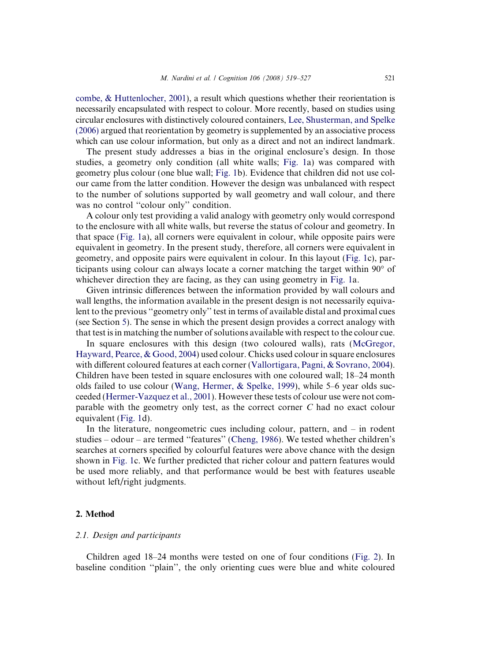[combe, & Huttenlocher, 2001](#page-8-0)), a result which questions whether their reorientation is necessarily encapsulated with respect to colour. More recently, based on studies using circular enclosures with distinctively coloured containers, [Lee, Shusterman, and Spelke](#page-8-0) [\(2006\)](#page-8-0) argued that reorientation by geometry is supplemented by an associative process which can use colour information, but only as a direct and not an indirect landmark.

The present study addresses a bias in the original enclosure's design. In those studies, a geometry only condition (all white walls; [Fig. 1a](#page-1-0)) was compared with geometry plus colour (one blue wall; [Fig. 1b](#page-1-0)). Evidence that children did not use colour came from the latter condition. However the design was unbalanced with respect to the number of solutions supported by wall geometry and wall colour, and there was no control ''colour only'' condition.

A colour only test providing a valid analogy with geometry only would correspond to the enclosure with all white walls, but reverse the status of colour and geometry. In that space ([Fig. 1a](#page-1-0)), all corners were equivalent in colour, while opposite pairs were equivalent in geometry. In the present study, therefore, all corners were equivalent in geometry, and opposite pairs were equivalent in colour. In this layout [\(Fig. 1c](#page-1-0)), participants using colour can always locate a corner matching the target within  $90^{\circ}$  of whichever direction they are facing, as they can using geometry in [Fig. 1a](#page-1-0).

Given intrinsic differences between the information provided by wall colours and wall lengths, the information available in the present design is not necessarily equivalent to the previous ''geometry only'' test in terms of available distal and proximal cues (see Section [5](#page-5-0)). The sense in which the present design provides a correct analogy with that test is in matching the number of solutions available with respect to the colour cue.

In square enclosures with this design (two coloured walls), rats ([McGregor,](#page-8-0) [Hayward, Pearce, & Good, 2004](#page-8-0)) used colour. Chicks used colour in square enclosures with different coloured features at each corner [\(Vallortigara, Pagni, & Sovrano, 2004\)](#page-8-0). Children have been tested in square enclosures with one coloured wall; 18–24 month olds failed to use colour ([Wang, Hermer, & Spelke, 1999](#page-8-0)), while 5–6 year olds succeeded ([Hermer-Vazquez et al., 2001](#page-8-0)). However these tests of colour use were not comparable with the geometry only test, as the correct corner C had no exact colour equivalent ([Fig. 1d](#page-1-0)).

In the literature, nongeometric cues including colour, pattern, and – in rodent studies – odour – are termed ''features'' ([Cheng, 1986\)](#page-7-0). We tested whether children's searches at corners specified by colourful features were above chance with the design shown in [Fig. 1c](#page-1-0). We further predicted that richer colour and pattern features would be used more reliably, and that performance would be best with features useable without left/right judgments.

# 2. Method

# 2.1. Design and participants

Children aged 18–24 months were tested on one of four conditions ([Fig. 2\)](#page-3-0). In baseline condition ''plain'', the only orienting cues were blue and white coloured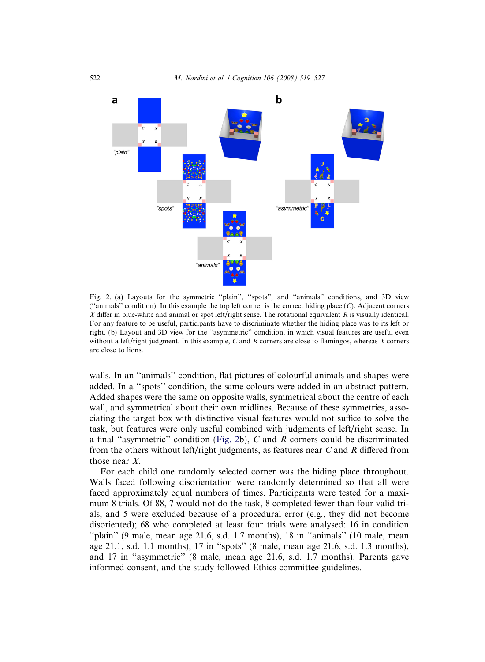<span id="page-3-0"></span>

Fig. 2. (a) Layouts for the symmetric "plain", "spots", and "animals" conditions, and 3D view ("animals" condition). In this example the top left corner is the correct hiding place  $(C)$ . Adjacent corners X differ in blue-white and animal or spot left/right sense. The rotational equivalent R is visually identical. For any feature to be useful, participants have to discriminate whether the hiding place was to its left or right. (b) Layout and 3D view for the ''asymmetric'' condition, in which visual features are useful even without a left/right judgment. In this example, C and R corners are close to flamingos, whereas  $X$  corners are close to lions.

walls. In an "animals" condition, flat pictures of colourful animals and shapes were added. In a ''spots'' condition, the same colours were added in an abstract pattern. Added shapes were the same on opposite walls, symmetrical about the centre of each wall, and symmetrical about their own midlines. Because of these symmetries, associating the target box with distinctive visual features would not suffice to solve the task, but features were only useful combined with judgments of left/right sense. In a final "asymmetric" condition (Fig. 2b),  $C$  and  $R$  corners could be discriminated from the others without left/right judgments, as features near  $C$  and  $R$  differed from those near X.

For each child one randomly selected corner was the hiding place throughout. Walls faced following disorientation were randomly determined so that all were faced approximately equal numbers of times. Participants were tested for a maximum 8 trials. Of 88, 7 would not do the task, 8 completed fewer than four valid trials, and 5 were excluded because of a procedural error (e.g., they did not become disoriented); 68 who completed at least four trials were analysed: 16 in condition "plain" (9 male, mean age  $21.6$ , s.d. 1.7 months), 18 in "animals" (10 male, mean age 21.1, s.d. 1.1 months), 17 in ''spots'' (8 male, mean age 21.6, s.d. 1.3 months), and 17 in ''asymmetric'' (8 male, mean age 21.6, s.d. 1.7 months). Parents gave informed consent, and the study followed Ethics committee guidelines.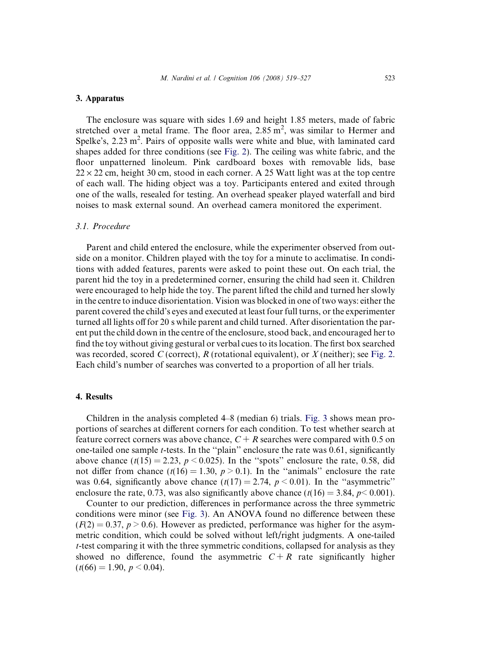# 3. Apparatus

The enclosure was square with sides 1.69 and height 1.85 meters, made of fabric stretched over a metal frame. The floor area,  $2.85 \text{ m}^2$ , was similar to Hermer and Spelke's, 2.23 m<sup>2</sup>. Pairs of opposite walls were white and blue, with laminated card shapes added for three conditions (see [Fig. 2\)](#page-3-0). The ceiling was white fabric, and the floor unpatterned linoleum. Pink cardboard boxes with removable lids, base  $22 \times 22$  cm, height 30 cm, stood in each corner. A 25 Watt light was at the top centre of each wall. The hiding object was a toy. Participants entered and exited through one of the walls, resealed for testing. An overhead speaker played waterfall and bird noises to mask external sound. An overhead camera monitored the experiment.

# 3.1. Procedure

Parent and child entered the enclosure, while the experimenter observed from outside on a monitor. Children played with the toy for a minute to acclimatise. In conditions with added features, parents were asked to point these out. On each trial, the parent hid the toy in a predetermined corner, ensuring the child had seen it. Children were encouraged to help hide the toy. The parent lifted the child and turned her slowly in the centre to induce disorientation. Vision was blocked in one of two ways: either the parent covered the child's eyes and executed at least four full turns, or the experimenter turned all lights off for 20 s while parent and child turned. After disorientation the parent put the child down in the centre of the enclosure, stood back, and encouraged her to find the toy without giving gestural or verbal cues to its location. The first box searched was recorded, scored C (correct), R (rotational equivalent), or X (neither); see [Fig. 2](#page-3-0). Each child's number of searches was converted to a proportion of all her trials.

## 4. Results

Children in the analysis completed 4–8 (median 6) trials. [Fig. 3](#page-5-0) shows mean proportions of searches at different corners for each condition. To test whether search at feature correct corners was above chance,  $C + R$  searches were compared with 0.5 on one-tailed one sample t-tests. In the ''plain'' enclosure the rate was 0.61, significantly above chance  $(t(15) = 2.23, p < 0.025)$ . In the "spots" enclosure the rate, 0.58, did not differ from chance  $(t(16) = 1.30, p > 0.1)$ . In the "animals" enclosure the rate was 0.64, significantly above chance  $(t(17) = 2.74, p < 0.01)$ . In the "asymmetric" enclosure the rate, 0.73, was also significantly above chance ( $t(16) = 3.84$ ,  $p < 0.001$ ).

Counter to our prediction, differences in performance across the three symmetric conditions were minor (see [Fig. 3\)](#page-5-0). An ANOVA found no difference between these  $(F(2) = 0.37, p > 0.6)$ . However as predicted, performance was higher for the asymmetric condition, which could be solved without left/right judgments. A one-tailed t-test comparing it with the three symmetric conditions, collapsed for analysis as they showed no difference, found the asymmetric  $C + R$  rate significantly higher  $(t(66) = 1.90, p < 0.04).$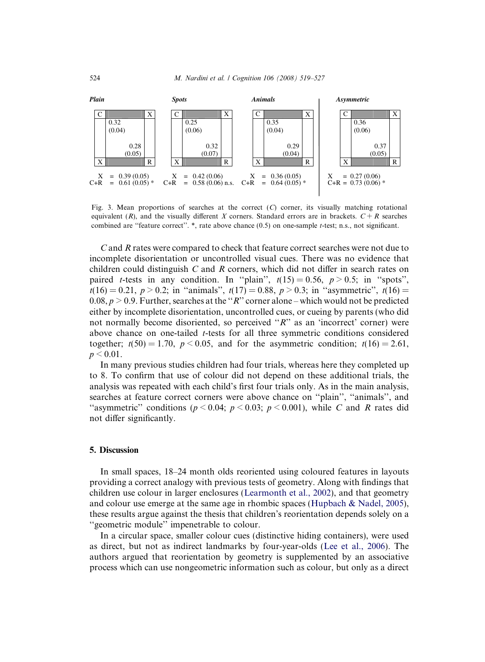<span id="page-5-0"></span>

Fig. 3. Mean proportions of searches at the correct  $(C)$  corner, its visually matching rotational equivalent (R), and the visually different X corners. Standard errors are in brackets.  $C + R$  searches combined are ''feature correct''. \*, rate above chance (0.5) on one-sample t-test; n.s., not significant.

C and R rates were compared to check that feature correct searches were not due to incomplete disorientation or uncontrolled visual cues. There was no evidence that children could distinguish  $C$  and  $R$  corners, which did not differ in search rates on paired *t*-tests in any condition. In "plain",  $t(15) = 0.56$ ,  $p > 0.5$ ; in "spots",  $t(16) = 0.21$ ,  $p > 0.2$ ; in "animals",  $t(17) = 0.88$ ,  $p > 0.3$ ; in "asymmetric",  $t(16) =$  $0.08, p > 0.9$ . Further, searches at the "R" corner alone – which would not be predicted either by incomplete disorientation, uncontrolled cues, or cueing by parents (who did not normally become disoriented, so perceived "R" as an 'incorrect' corner) were above chance on one-tailed t-tests for all three symmetric conditions considered together;  $t(50) = 1.70$ ,  $p < 0.05$ , and for the asymmetric condition;  $t(16) = 2.61$ ,  $p < 0.01$ .

In many previous studies children had four trials, whereas here they completed up to 8. To confirm that use of colour did not depend on these additional trials, the analysis was repeated with each child's first four trials only. As in the main analysis, searches at feature correct corners were above chance on ''plain'', ''animals'', and "asymmetric" conditions ( $p < 0.04$ ;  $p < 0.03$ ;  $p < 0.001$ ), while C and R rates did not differ significantly.

### 5. Discussion

In small spaces, 18–24 month olds reoriented using coloured features in layouts providing a correct analogy with previous tests of geometry. Along with findings that children use colour in larger enclosures [\(Learmonth et al., 2002\)](#page-8-0), and that geometry and colour use emerge at the same age in rhombic spaces [\(Hupbach & Nadel, 2005](#page-8-0)), these results argue against the thesis that children's reorientation depends solely on a ''geometric module'' impenetrable to colour.

In a circular space, smaller colour cues (distinctive hiding containers), were used as direct, but not as indirect landmarks by four-year-olds ([Lee et al., 2006](#page-8-0)). The authors argued that reorientation by geometry is supplemented by an associative process which can use nongeometric information such as colour, but only as a direct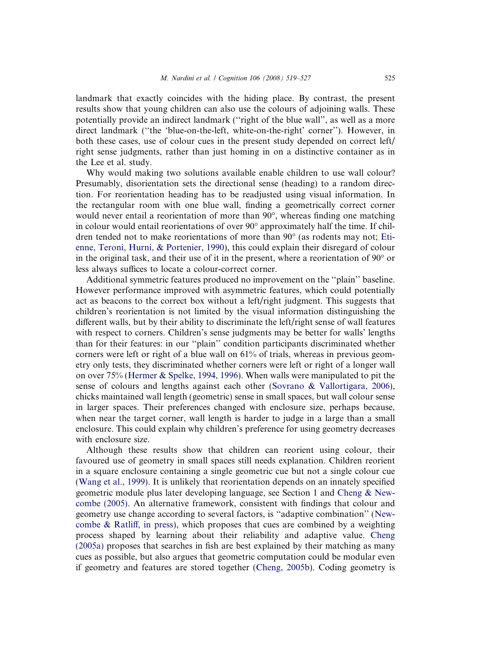landmark that exactly coincides with the hiding place. By contrast, the present results show that young children can also use the colours of adjoining walls. These potentially provide an indirect landmark (''right of the blue wall'', as well as a more direct landmark (''the 'blue-on-the-left, white-on-the-right' corner''). However, in both these cases, use of colour cues in the present study depended on correct left/ right sense judgments, rather than just homing in on a distinctive container as in the Lee et al. study.

Why would making two solutions available enable children to use wall colour? Presumably, disorientation sets the directional sense (heading) to a random direction. For reorientation heading has to be readjusted using visual information. In the rectangular room with one blue wall, finding a geometrically correct corner would never entail a reorientation of more than  $90^{\circ}$ , whereas finding one matching in colour would entail reorientations of over  $90^{\circ}$  approximately half the time. If children tended not to make reorientations of more than  $90^{\circ}$  (as rodents may not; [Eti](#page-7-0)[enne, Teroni, Hurni, & Portenier, 1990\)](#page-7-0), this could explain their disregard of colour in the original task, and their use of it in the present, where a reorientation of  $90^{\circ}$  or less always suffices to locate a colour-correct corner.

Additional symmetric features produced no improvement on the ''plain'' baseline. However performance improved with asymmetric features, which could potentially act as beacons to the correct box without a left/right judgment. This suggests that children's reorientation is not limited by the visual information distinguishing the different walls, but by their ability to discriminate the left/right sense of wall features with respect to corners. Children's sense judgments may be better for walls' lengths than for their features: in our ''plain'' condition participants discriminated whether corners were left or right of a blue wall on 61% of trials, whereas in previous geometry only tests, they discriminated whether corners were left or right of a longer wall on over 75% ([Hermer & Spelke, 1994, 1996](#page-8-0)). When walls were manipulated to pit the sense of colours and lengths against each other ([Sovrano & Vallortigara, 2006\)](#page-8-0), chicks maintained wall length (geometric) sense in small spaces, but wall colour sense in larger spaces. Their preferences changed with enclosure size, perhaps because, when near the target corner, wall length is harder to judge in a large than a small enclosure. This could explain why children's preference for using geometry decreases with enclosure size.

Although these results show that children can reorient using colour, their favoured use of geometry in small spaces still needs explanation. Children reorient in a square enclosure containing a single geometric cue but not a single colour cue [\(Wang et al., 1999\)](#page-8-0). It is unlikely that reorientation depends on an innately specified geometric module plus later developing language, see Section [1](#page-1-0) and [Cheng & New](#page-7-0)[combe \(2005\)](#page-7-0). An alternative framework, consistent with findings that colour and geometry use change according to several factors, is ''adaptive combination'' ([New](#page-8-0)combe  $\&$  Ratliff, in press), which proposes that cues are combined by a weighting process shaped by learning about their reliability and adaptive value. [Cheng](#page-7-0) [\(2005a\)](#page-7-0) proposes that searches in fish are best explained by their matching as many cues as possible, but also argues that geometric computation could be modular even if geometry and features are stored together ([Cheng, 2005b\)](#page-7-0). Coding geometry is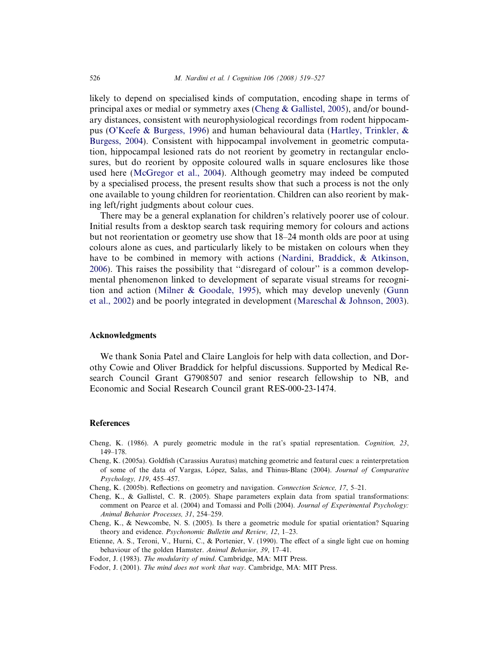<span id="page-7-0"></span>likely to depend on specialised kinds of computation, encoding shape in terms of principal axes or medial or symmetry axes (Cheng & Gallistel, 2005), and/or boundary distances, consistent with neurophysiological recordings from rodent hippocampus [\(O'Keefe & Burgess, 1996\)](#page-8-0) and human behavioural data [\(Hartley, Trinkler, &](#page-8-0) [Burgess, 2004\)](#page-8-0). Consistent with hippocampal involvement in geometric computation, hippocampal lesioned rats do not reorient by geometry in rectangular enclosures, but do reorient by opposite coloured walls in square enclosures like those used here ([McGregor et al., 2004\)](#page-8-0). Although geometry may indeed be computed by a specialised process, the present results show that such a process is not the only one available to young children for reorientation. Children can also reorient by making left/right judgments about colour cues.

There may be a general explanation for children's relatively poorer use of colour. Initial results from a desktop search task requiring memory for colours and actions but not reorientation or geometry use show that 18–24 month olds are poor at using colours alone as cues, and particularly likely to be mistaken on colours when they have to be combined in memory with actions [\(Nardini, Braddick, & Atkinson,](#page-8-0) [2006\)](#page-8-0). This raises the possibility that ''disregard of colour'' is a common developmental phenomenon linked to development of separate visual streams for recognition and action [\(Milner & Goodale, 1995](#page-8-0)), which may develop unevenly [\(Gunn](#page-8-0) [et al., 2002](#page-8-0)) and be poorly integrated in development ([Mareschal & Johnson, 2003](#page-8-0)).

#### Acknowledgments

We thank Sonia Patel and Claire Langlois for help with data collection, and Dorothy Cowie and Oliver Braddick for helpful discussions. Supported by Medical Research Council Grant G7908507 and senior research fellowship to NB, and Economic and Social Research Council grant RES-000-23-1474.

#### References

- Cheng, K. (1986). A purely geometric module in the rat's spatial representation. Cognition, 23, 149–178.
- Cheng, K. (2005a). Goldfish (Carassius Auratus) matching geometric and featural cues: a reinterpretation of some of the data of Vargas, López, Salas, and Thinus-Blanc (2004). Journal of Comparative Psychology, 119, 455–457.
- Cheng, K. (2005b). Reflections on geometry and navigation. Connection Science, 17, 5–21.
- Cheng, K., & Gallistel, C. R. (2005). Shape parameters explain data from spatial transformations: comment on Pearce et al. (2004) and Tomassi and Polli (2004). Journal of Experimental Psychology: Animal Behavior Processes, 31, 254–259.
- Cheng, K., & Newcombe, N. S. (2005). Is there a geometric module for spatial orientation? Squaring theory and evidence. Psychonomic Bulletin and Review, 12, 1-23.
- Etienne, A. S., Teroni, V., Hurni, C., & Portenier, V. (1990). The effect of a single light cue on homing behaviour of the golden Hamster. Animal Behavior, 39, 17–41.
- Fodor, J. (1983). The modularity of mind. Cambridge, MA: MIT Press.
- Fodor, J. (2001). The mind does not work that way. Cambridge, MA: MIT Press.